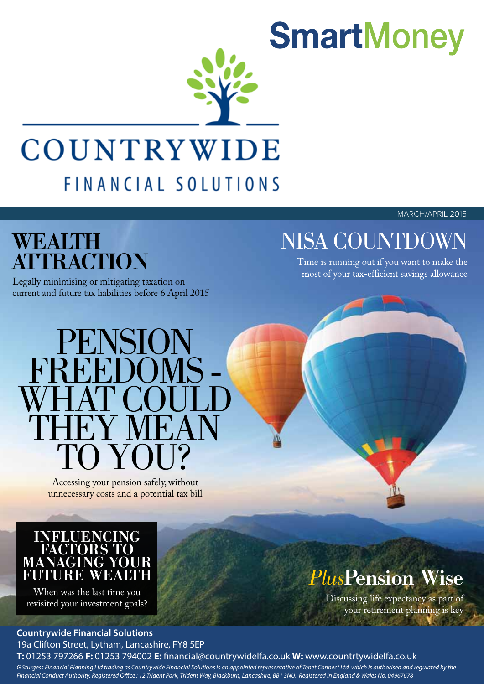

## COUNTRYWIDE FINANCIAL SOLUTIONS

MARCH/APRIL 2015

# **ATTRACTION**

Legally minimising or mitigating taxation on current and future tax liabilities before 6 April 2015

### WEALTH NISA COUNTDOWN

Time is running out if you want to make the<br>most of your tax-efficient savings allowance

## PENSION FREEDOMS<br>WHAT COUL<br>THEY MEAL Y MEAN TO YOU?

Accessing your pension safely, without unnecessary costs and a potential tax bill

#### INFLUENCING FACTORS TO MANAGING YOUR FUTURE WEALT

When was the last time you revisited your investment goals?

#### **Countrywide Financial Solutions** 19a Clifton Street, Lytham, Lancashire, FY8 5EP

#### **T:** 01253 797266 **F:** 01253 794002 **E:** nancial@countrywidelfa.co.uk **W:** www.countrtywidelfa.co.uk

*G Sturgess Financial Planning Ltd trading as Countrywide Financial Solutions is an appointed representative of Tenet Connect Ltd. which is authorised and regulated by the* Financial Conduct Authority. Registered Office : 12 Trident Park, Trident Way, Blackburn, Lancashire, BB1 3NU. Registered in England & Wales No. 04967678

### *Plus*Pension Wise

Discussing life expectancy as part of your retirement planning is key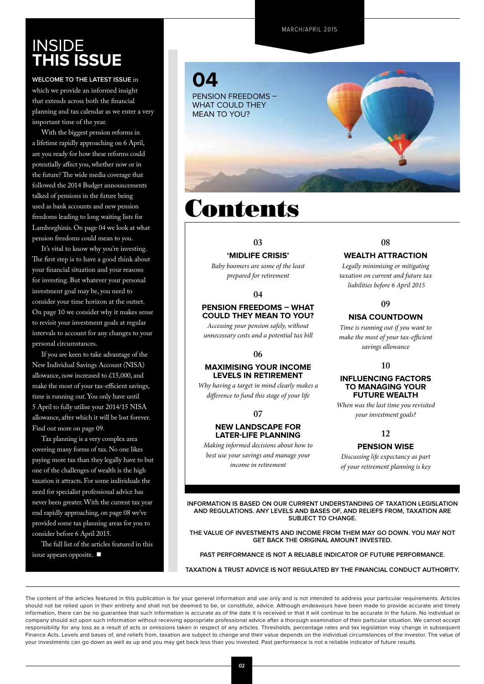#### **INSIDE this Issue**

**Welcome to the latest issue** in which we provide an informed insight that extends across both the financial planning and tax calendar as we enter a very important time of the year.

With the biggest pension reforms in a lifetime rapidly approaching on 6 April, are you ready for how these reforms could potentially affect you, whether now or in the future? The wide media coverage that followed the 2014 Budget announcements talked of pensions in the future being used as bank accounts and new pension freedoms leading to long waiting lists for Lamborghinis. On page 04 we look at what pension freedoms could mean to you.

It's vital to know why you're investing. The first step is to have a good think about your financial situation and your reasons for investing. But whatever your personal investment goal may be, you need to consider your time horizon at the outset. On page 10 we consider why it makes sense to revisit your investment goals at regular intervals to account for any changes to your personal circumstances.

If you are keen to take advantage of the New Individual Savings Account (NISA) allowance, now increased to £15,000, and make the most of your tax-efficient savings, time is running out. You only have until 5 April to fully utilise your 2014/15 NISA allowance, after which it will be lost forever. Find out more on page 09.

Tax planning is a very complex area covering many forms of tax. No one likes paying more tax than they legally have to but one of the challenges of wealth is the high taxation it attracts. For some individuals the need for specialist professional advice has never been greater. With the current tax year end rapidly approaching, on page 08 we've provided some tax planning areas for you to consider before 6 April 2015.

The full list of the articles featured in this issue appears opposite.  $\blacksquare$ 



### **Contents**

#### **03**

#### **'Midlife crisis'**

*Baby boomers are some of the least prepared for retirement*

#### **04**

#### **Pension freedoms – what could they mean to you?**

*Accessing your pension safely, without unnecessary costs and a potential tax bill*

#### **06**

#### **Maximising your income levels in retirement**

*Why having a target in mind clearly makes a difference to fund this stage of your life*

#### **07**

#### **New landscape for later-life planning**

*Making informed decisions about how to best use your savings and manage your income in retirement* 

#### **08**

#### **Wealth attraction**

*Legally minimising or mitigating taxation on current and future tax liabilities before 6 April 2015*

#### **09**

#### **NISA countdown**

*Time is running out if you want to make the most of your tax-efficient savings allowance*

#### **10**

#### **Influencing factors to managing your future wealth**

*When was the last time you revisited your investment goals?* 

#### **12**

#### **Pension wise**

*Discussing life expectancy as part of your retirement planning is key*

**INFORMATION IS BASED ON OUR CURRENT UNDERSTANDING OF TAXATION LEGISLATION AND REGULATIONS. ANY LEVELS AND BASES OF, AND RELIEFS FROM, TAXATION ARE SUBJECT TO CHANGE.**

**THE VALUE OF INVESTMENTS AND INCOME FROM THEM MAY GO DOWN. YOU MAY NOT GET BACK THE ORIGINAL AMOUNT INVESTED.**

**PAST PERFORMANCE IS NOT A RELIABLE INDICATOR OF FUTURE PERFORMANCE.**

**TAXATION & TRUST ADVICE IS NOT REGULATED BY THE FINANCIAL CONDUCT AUTHORITY.**

The content of the articles featured in this publication is for your general information and use only and is not intended to address your particular requirements. Articles should not be relied upon in their entirety and shall not be deemed to be, or constitute, advice. Although endeavours have been made to provide accurate and timely information, there can be no guarantee that such information is accurate as of the date it is received or that it will continue to be accurate in the future. No individual or company should act upon such information without receiving appropriate professional advice after a thorough examination of their particular situation. We cannot accept responsibility for any loss as a result of acts or omissions taken in respect of any articles. Thresholds, percentage rates and tax legislation may change in subsequent Finance Acts. Levels and bases of, and reliefs from, taxation are subject to change and their value depends on the individual circumstances of the investor. The value of your investments can go down as well as up and you may get back less than you invested. Past performance is not a reliable indicator of future results.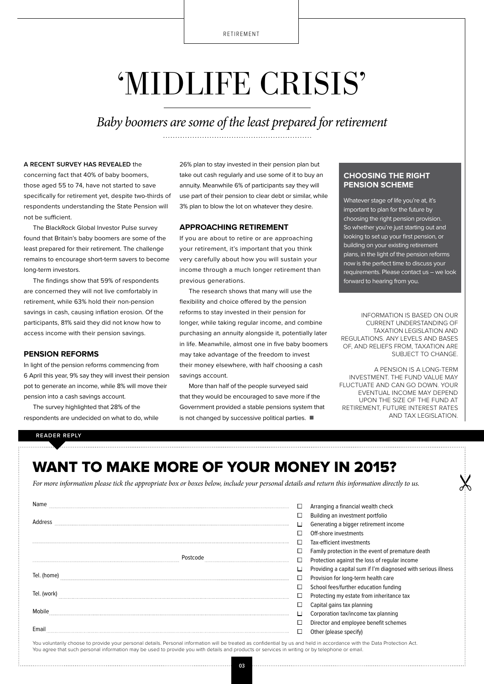## 'MIDLIFE CRISIS'

*Baby boomers are some of the least prepared for retirement*

#### **A recent survey has revealed** the

concerning fact that 40% of baby boomers, those aged 55 to 74, have not started to save specifically for retirement yet, despite two-thirds of respondents understanding the State Pension will not be sufficient.

The BlackRock Global Investor Pulse survey found that Britain's baby boomers are some of the least prepared for their retirement. The challenge remains to encourage short-term savers to become long-term investors.

The findings show that 59% of respondents are concerned they will not live comfortably in retirement, while 63% hold their non-pension savings in cash, causing inflation erosion. Of the participants, 81% said they did not know how to access income with their pension savings.

#### **Pension reforms**

In light of the pension reforms commencing from 6 April this year, 9% say they will invest their pension pot to generate an income, while 8% will move their pension into a cash savings account.

The survey highlighted that 28% of the respondents are undecided on what to do, while 26% plan to stay invested in their pension plan but take out cash regularly and use some of it to buy an annuity. Meanwhile 6% of participants say they will use part of their pension to clear debt or similar, while 3% plan to blow the lot on whatever they desire.

#### **Approaching retirement**

If you are about to retire or are approaching your retirement, it's important that you think very carefully about how you will sustain your income through a much longer retirement than previous generations.

The research shows that many will use the flexibility and choice offered by the pension reforms to stay invested in their pension for longer, while taking regular income, and combine purchasing an annuity alongside it, potentially later in life. Meanwhile, almost one in five baby boomers may take advantage of the freedom to invest their money elsewhere, with half choosing a cash savings account.

More than half of the people surveyed said that they would be encouraged to save more if the Government provided a stable pensions system that is not changed by successive political parties.  $\blacksquare$ 

#### **Choosing the right pension scheme**

Whatever stage of life you're at, it's important to plan for the future by choosing the right pension provision. So whether you're just starting out and looking to set up your first pension, or building on your existing retirement plans, in the light of the pension reforms now is the perfect time to discuss your requirements. Please contact us – we look forward to hearing from you.

INFORMATION IS BASED ON OUR CURRENT UNDERSTANDING OF TAXATION LEGISLATION AND REGULATIONS. ANY LEVELS AND BASES OF, AND RELIEFS FROM, TAXATION ARE SUBJECT TO CHANGE.

A PENSION IS A LONG-TERM INVESTMENT. THE FUND VALUE MAY FLUCTUATE AND CAN GO DOWN. YOUR EVENTUAL INCOME MAY DEPEND UPON THE SIZE OF THE FUND AT RETIREMENT, FUTURE INTEREST RATES AND TAX LEGISLATION.

#### **READER REPLY**

#### want to make more of your money IN 2015?

*For more information please tick the appropriate box or boxes below, include your personal details and return this information directly to us.*

| Name        | Arranging a financial wealth check                            |
|-------------|---------------------------------------------------------------|
|             | Building an investment portfolio                              |
| Address     | Generating a bigger retirement income                         |
|             | Off-shore investments                                         |
|             | Tax-efficient investments                                     |
|             | Family protection in the event of premature death             |
| Postcode    | Protection against the loss of regular income                 |
|             | Providing a capital sum if I'm diagnosed with serious illness |
| Tel. (home) | Provision for long-term health care                           |
|             | School fees/further education funding                         |
| Tel. (work  | Protecting my estate from inheritance tax                     |
|             | Capital gains tax planning                                    |
| Mobile      | Corporation tax/income tax planning                           |
|             | Director and employee benefit schemes                         |
|             | Other (please specify)                                        |

You voluntarily choose to provide your personal details. Personal information will be treated as confidential by us and held in accordance with the Data Protection Act. You agree that such personal information may be used to provide you with details and products or services in writing or by telephone or email.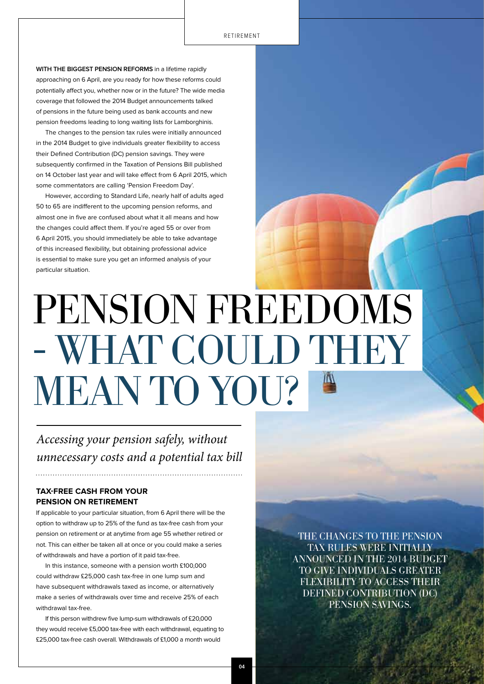**With the biggest pension reforms** in a lifetime rapidly approaching on 6 April, are you ready for how these reforms could potentially affect you, whether now or in the future? The wide media coverage that followed the 2014 Budget announcements talked of pensions in the future being used as bank accounts and new pension freedoms leading to long waiting lists for Lamborghinis.

The changes to the pension tax rules were initially announced in the 2014 Budget to give individuals greater flexibility to access their Defined Contribution (DC) pension savings. They were subsequently confirmed in the Taxation of Pensions Bill published on 14 October last year and will take effect from 6 April 2015, which some commentators are calling 'Pension Freedom Day'.

However, according to Standard Life, nearly half of adults aged 50 to 65 are indifferent to the upcoming pension reforms, and almost one in five are confused about what it all means and how the changes could affect them. If you're aged 55 or over from 6 April 2015, you should immediately be able to take advantage of this increased flexibility, but obtaining professional advice is essential to make sure you get an informed analysis of your particular situation.

# PENSION FREEDOMS - WHAT COULD THEY MEAN TO YOU?

*Accessing your pension safely, without unnecessary costs and a potential tax bill*

#### **Tax-free cash from your pension on retirement**

If applicable to your particular situation, from 6 April there will be the option to withdraw up to 25% of the fund as tax-free cash from your pension on retirement or at anytime from age 55 whether retired or not. This can either be taken all at once or you could make a series of withdrawals and have a portion of it paid tax-free.

In this instance, someone with a pension worth £100,000 could withdraw £25,000 cash tax-free in one lump sum and have subsequent withdrawals taxed as income, or alternatively make a series of withdrawals over time and receive 25% of each withdrawal tax-free.

If this person withdrew five lump-sum withdrawals of £20,000 they would receive £5,000 tax-free with each withdrawal, equating to £25,000 tax-free cash overall. Withdrawals of £1,000 a month would

The changes to the pension tax rules were initially announced in the 2014 Budget to give individuals greater flexibility to access their Defined Contribution (DC) pension savings.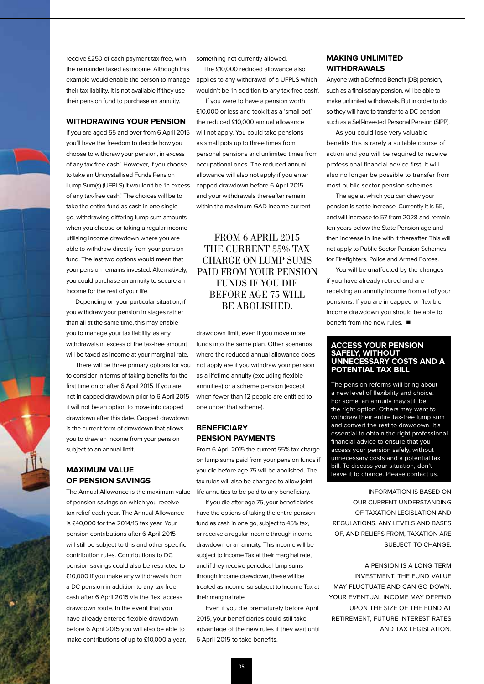receive £250 of each payment tax-free, with the remainder taxed as income. Although this example would enable the person to manage their tax liability, it is not available if they use their pension fund to purchase an annuity.

#### **Withdrawing your pension**

If you are aged 55 and over from 6 April 2015 you'll have the freedom to decide how you choose to withdraw your pension, in excess of any tax-free cash'. However, if you choose to take an Uncrystallised Funds Pension Lump Sum(s) (UFPLS) it wouldn't be 'in excess of any tax-free cash.' The choices will be to take the entire fund as cash in one single go, withdrawing differing lump sum amounts when you choose or taking a regular income utilising income drawdown where you are able to withdraw directly from your pension fund. The last two options would mean that your pension remains invested. Alternatively, you could purchase an annuity to secure an income for the rest of your life.

Depending on your particular situation, if you withdraw your pension in stages rather than all at the same time, this may enable you to manage your tax liability, as any withdrawals in excess of the tax-free amount will be taxed as income at your marginal rate.

There will be three primary options for you to consider in terms of taking benefits for the first time on or after 6 April 2015. If you are not in capped drawdown prior to 6 April 2015 it will not be an option to move into capped drawdown after this date. Capped drawdown is the current form of drawdown that allows you to draw an income from your pension subject to an annual limit.

#### **Maximum value of pension savings**

The Annual Allowance is the maximum value of pension savings on which you receive tax relief each year. The Annual Allowance is £40,000 for the 2014/15 tax year. Your pension contributions after 6 April 2015 will still be subject to this and other specific contribution rules. Contributions to DC pension savings could also be restricted to £10,000 if you make any withdrawals from a DC pension in addition to any tax-free cash after 6 April 2015 via the flexi access drawdown route. In the event that you have already entered flexible drawdown before 6 April 2015 you will also be able to make contributions of up to £10,000 a year,

something not currently allowed.

The £10,000 reduced allowance also applies to any withdrawal of a UFPLS which wouldn't be 'in addition to any tax-free cash'.

If you were to have a pension worth £10,000 or less and took it as a 'small pot', the reduced £10,000 annual allowance will not apply. You could take pensions as small pots up to three times from personal pensions and unlimited times from occupational ones. The reduced annual allowance will also not apply if you enter capped drawdown before 6 April 2015 and your withdrawals thereafter remain within the maximum GAD income current

#### FROM 6 APRIL 2015 THE CURRENT 55% TAX charge on lump sums paid from your pension funds if you die before age 75 will be abolished.

drawdown limit, even if you move more funds into the same plan. Other scenarios where the reduced annual allowance does not apply are if you withdraw your pension as a lifetime annuity (excluding flexible annuities) or a scheme pension (except when fewer than 12 people are entitled to one under that scheme).

#### **Beneficiary pension payments**

From 6 April 2015 the current 55% tax charge on lump sums paid from your pension funds if you die before age 75 will be abolished. The tax rules will also be changed to allow joint life annuities to be paid to any beneficiary.

If you die after age 75, your beneficiaries have the options of taking the entire pension fund as cash in one go, subject to 45% tax, or receive a regular income through income drawdown or an annuity. This income will be subject to Income Tax at their marginal rate, and if they receive periodical lump sums through income drawdown, these will be treated as income, so subject to Income Tax at their marginal rate.

Even if you die prematurely before April 2015, your beneficiaries could still take advantage of the new rules if they wait until 6 April 2015 to take benefits.

#### **Making unlimited withdrawals**

Anyone with a Defined Benefit (DB) pension, such as a final salary pension, will be able to make unlimited withdrawals. But in order to do so they will have to transfer to a DC pension such as a Self-Invested Personal Pension (SIPP).

As you could lose very valuable benefits this is rarely a suitable course of action and you will be required to receive professional financial advice first. It will also no longer be possible to transfer from most public sector pension schemes.

The age at which you can draw your pension is set to increase. Currently it is 55, and will increase to 57 from 2028 and remain ten years below the State Pension age and then increase in line with it thereafter. This will not apply to Public Sector Pension Schemes for Firefighters, Police and Armed Forces.

You will be unaffected by the changes if you have already retired and are receiving an annuity income from all of your pensions. If you are in capped or flexible income drawdown you should be able to benefit from the new rules.  $\blacksquare$ 

#### **Access your pension safely, without unnecessary costs and a potential tax bill**

The pension reforms will bring about a new level of flexibility and choice. For some, an annuity may still be the right option. Others may want to withdraw their entire tax-free lump sum and convert the rest to drawdown. It's essential to obtain the right professional financial advice to ensure that you access your pension safely, without unnecessary costs and a potential tax bill. To discuss your situation, don't leave it to chance. Please contact us.

INFORMATION IS BASED ON OUR CURRENT UNDERSTANDING OF TAXATION LEGISLATION AND REGULATIONS. ANY LEVELS AND BASES. OF, AND RELIEFS FROM, TAXATION ARE SUBJECT TO CHANGE.

A PENSION IS A LONG-TERM INVESTMENT. THE FUND VALUE MAY FLUCTUATE AND CAN GO DOWN. YOUR EVENTUAL INCOME MAY DEPEND UPON THE SIZE OF THE FUND AT RETIREMENT, FUTURE INTEREST RATES AND TAX LEGISLATION.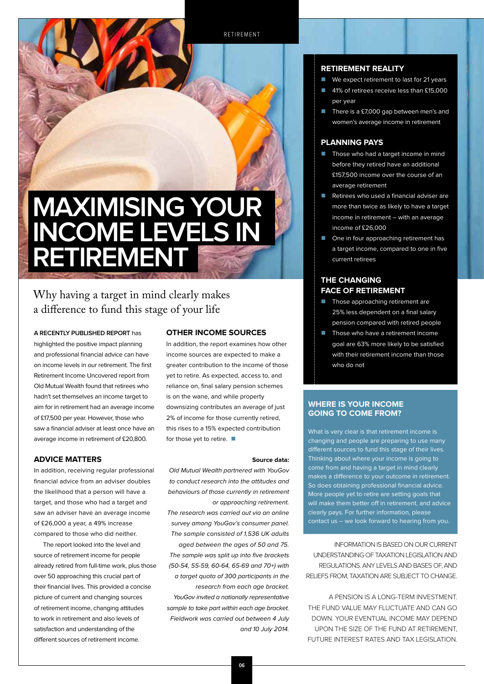

#### Why having a target in mind clearly makes a difference to fund this stage of your life

**A recently published report** has highlighted the positive impact planning and professional financial advice can have on income levels in our retirement. The first Retirement Income Uncovered report from Old Mutual Wealth found that retirees who hadn't set themselves an income target to aim for in retirement had an average income of £17,500 per year. However, those who saw a financial adviser at least once have an average income in retirement of £20,800.

#### **Advice matters**

In addition, receiving regular professional financial advice from an adviser doubles the likelihood that a person will have a target, and those who had a target and saw an adviser have an average income of £26,000 a year, a 49% increase compared to those who did neither.

The report looked into the level and source of retirement income for people already retired from full-time work, plus those over 50 approaching this crucial part of their financial lives. This provided a concise picture of current and changing sources of retirement income, changing attitudes to work in retirement and also levels of satisfaction and understanding of the different sources of retirement income.

#### **Other income sources**

In addition, the report examines how other income sources are expected to make a greater contribution to the income of those yet to retire. As expected, access to, and reliance on, final salary pension schemes is on the wane, and while property downsizing contributes an average of just 2% of income for those currently retired, this rises to a 15% expected contribution for those yet to retire.  $\blacksquare$ 

#### **Source data:**

Old Mutual Wealth partnered with YouGov to conduct research into the attitudes and behaviours of those currently in retirement or approaching retirement. The research was carried out via an online survey among YouGov's consumer panel. The sample consisted of 1,536 UK adults aged between the ages of 50 and 75. The sample was split up into five brackets (50-54, 55-59, 60-64, 65-69 and 70+) with a target quota of 300 participants in the research from each age bracket. YouGov invited a nationally representative sample to take part within each age bracket. Fieldwork was carried out between 4 July and 10 July 2014.

#### **Retirement reality**

- We expect retirement to last for 21 years
- 41% of retirees receive less than £15,000 per year
- There is a £7,000 gap between men's and women's average income in retirement

#### **Planning pays**

- Those who had a target income in mind before they retired have an additional £157,500 income over the course of an average retirement
- $\blacksquare$  Retirees who used a financial adviser are more than twice as likely to have a target income in retirement – with an average income of £26,000
- One in four approaching retirement has a target income, compared to one in five current retirees

#### **The changing face of retirement**

- **n** Those approaching retirement are 25% less dependent on a final salary pension compared with retired people
- Those who have a retirement income goal are 63% more likely to be satisfied with their retirement income than those who do not

#### **Where is your income going to come from?**

What is very clear is that retirement income is changing and people are preparing to use many different sources to fund this stage of their lives. Thinking about where your income is going to come from and having a target in mind clearly makes a difference to your outcome in retirement. So does obtaining professional financial advice. More people yet to retire are setting goals that will make them better off in retirement, and advice clearly pays. For further information, please contact us – we look forward to hearing from you.

INFORMATION IS BASED ON OUR CURRENT UNDERSTANDING OF TAXATION LEGISLATION AND REGULATIONS. ANY LEVELS AND BASES OF, AND RELIEFS FROM, TAXATION ARE SUBJECT TO CHANGE.

A PENSION IS A LONG-TERM INVESTMENT. THE FUND VALUE MAY FLUCTUATE AND CAN GO DOWN. YOUR EVENTUAL INCOME MAY DEPEND UPON THE SIZE OF THE FUND AT RETIREMENT, FUTURE INTEREST RATES AND TAX LEGISLATION.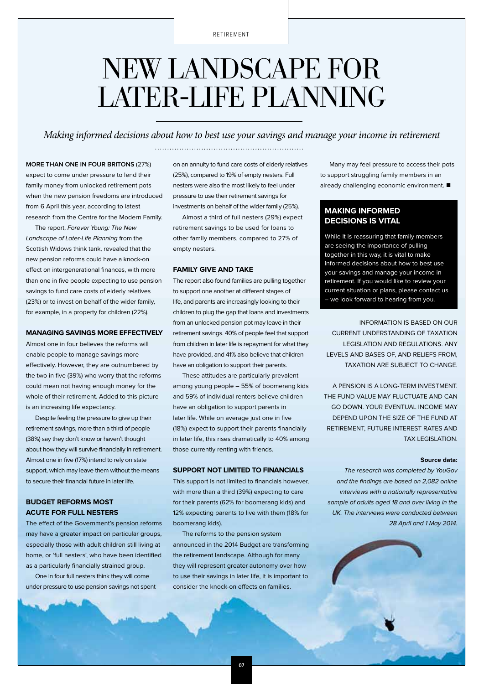### New landscape for LATER-LIFE PLANNING

*Making informed decisions about how to best use your savings and manage your income in retirement*

#### **More than one in four Britons** (27%)

expect to come under pressure to lend their family money from unlocked retirement pots when the new pension freedoms are introduced from 6 April this year, according to latest research from the Centre for the Modern Family.

The report, Forever Young: The New Landscape of Later-Life Planning from the Scottish Widows think tank, revealed that the new pension reforms could have a knock-on effect on intergenerational finances, with more than one in five people expecting to use pension savings to fund care costs of elderly relatives (23%) or to invest on behalf of the wider family, for example, in a property for children (22%).

#### **Managing savings more effectively**

Almost one in four believes the reforms will enable people to manage savings more effectively. However, they are outnumbered by the two in five (39%) who worry that the reforms could mean not having enough money for the whole of their retirement. Added to this picture is an increasing life expectancy.

Despite feeling the pressure to give up their retirement savings, more than a third of people (38%) say they don't know or haven't thought about how they will survive financially in retirement. Almost one in five (17%) intend to rely on state support, which may leave them without the means to secure their financial future in later life.

#### **Budget reforms most acute for full nesters**

The effect of the Government's pension reforms may have a greater impact on particular groups, especially those with adult children still living at home, or 'full nesters', who have been identified as a particularly financially strained group.

One in four full nesters think they will come under pressure to use pension savings not spent on an annuity to fund care costs of elderly relatives (25%), compared to 19% of empty nesters. Full nesters were also the most likely to feel under pressure to use their retirement savings for investments on behalf of the wider family (25%).

Almost a third of full nesters (29%) expect retirement savings to be used for loans to other family members, compared to 27% of empty nesters.

#### **Family give and take**

The report also found families are pulling together to support one another at different stages of life, and parents are increasingly looking to their children to plug the gap that loans and investments from an unlocked pension pot may leave in their retirement savings. 40% of people feel that support from children in later life is repayment for what they have provided, and 41% also believe that children have an obligation to support their parents.

These attitudes are particularly prevalent among young people – 55% of boomerang kids and 59% of individual renters believe children have an obligation to support parents in later life. While on average just one in five (18%) expect to support their parents financially in later life, this rises dramatically to 40% among those currently renting with friends.

#### **Support not limited to financials**

This support is not limited to financials however, with more than a third (39%) expecting to care for their parents (62% for boomerang kids) and 12% expecting parents to live with them (18% for boomerang kids).

The reforms to the pension system announced in the 2014 Budget are transforming the retirement landscape. Although for many they will represent greater autonomy over how to use their savings in later life, it is important to consider the knock-on effects on families.

Many may feel pressure to access their pots to support struggling family members in an already challenging economic environment.  $\blacksquare$ 

#### **Making informed decisions is vital**

While it is reassuring that family members are seeing the importance of pulling together in this way, it is vital to make informed decisions about how to best use your savings and manage your income in retirement. If you would like to review your current situation or plans, please contact us – we look forward to hearing from you.

INFORMATION IS BASED ON OUR CURRENT UNDERSTANDING OF TAXATION LEGISLATION AND REGULATIONS. ANY LEVELS AND BASES OF, AND RELIEFS FROM, TAXATION ARE SUBJECT TO CHANGE.

A PENSION IS A LONG-TERM INVESTMENT. THE FUND VALUE MAY FLUCTUATE AND CAN GO DOWN. YOUR EVENTUAL INCOME MAY DEPEND UPON THE SIZE OF THE FUND AT RETIREMENT, FUTURE INTEREST RATES AND TAX LEGISLATION.

#### **Source data:**

The research was completed by YouGov and the findings are based on 2,082 online interviews with a nationally representative sample of adults aged 18 and over living in the UK. The interviews were conducted between 28 April and 1 May 2014.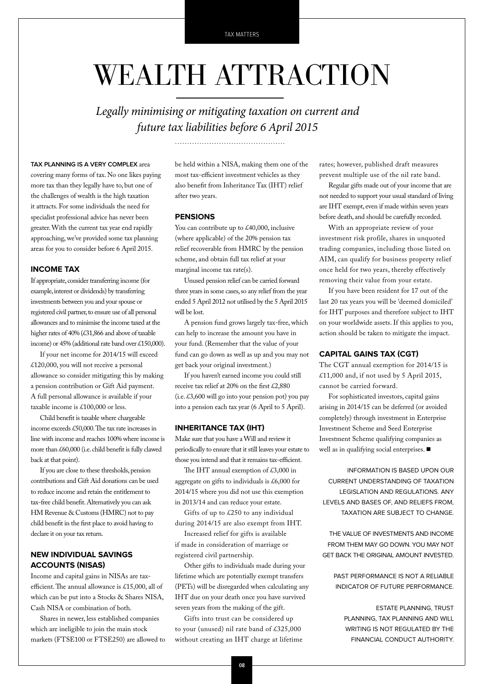## WEALTH ATTRACTION

*Legally minimising or mitigating taxation on current and future tax liabilities before 6 April 2015*

#### **Tax planning is a very complex** area

covering many forms of tax. No one likes paying more tax than they legally have to, but one of the challenges of wealth is the high taxation it attracts. For some individuals the need for specialist professional advice has never been greater. With the current tax year end rapidly approaching, we've provided some tax planning areas for you to consider before 6 April 2015.

#### **Income Tax**

If appropriate, consider transferring income (for example, interest or dividends) by transferring investments between you and your spouse or registered civil partner, to ensure use of all personal allowances and to minimise the income taxed at the higher rates of 40% (£31,866 and above of taxable income) or 45% (additional rate band over £150,000).

If your net income for 2014/15 will exceed £120,000, you will not receive a personal allowance so consider mitigating this by making a pension contribution or Gift Aid payment. A full personal allowance is available if your taxable income is £100,000 or less.

Child benefit is taxable where chargeable income exceeds £50,000. The tax rate increases in line with income and reaches 100% where income is more than £60,000 (i.e. child benefit is fully clawed back at that point).

If you are close to these thresholds, pension contributions and Gift Aid donations can be used to reduce income and retain the entitlement to tax-free child benefit. Alternatively you can ask HM Revenue & Customs (HMRC) not to pay child benefit in the first place to avoid having to declare it on your tax return.

#### **New Individual Savings Accounts (NISAs)**

Income and capital gains in NISAs are taxefficient. The annual allowance is £15,000, all of which can be put into a Stocks & Shares NISA, Cash NISA or combination of both.

Shares in newer, less established companies which are ineligible to join the main stock markets (FTSE100 or FTSE250) are allowed to

be held within a NISA, making them one of the most tax-efficient investment vehicles as they also benefit from Inheritance Tax (IHT) relief after two years.

#### **Pensions**

You can contribute up to £40,000, inclusive (where applicable) of the 20% pension tax relief recoverable from HMRC by the pension scheme, and obtain full tax relief at your marginal income tax rate(s).

Unused pension relief can be carried forward three years in some cases, so any relief from the year ended 5 April 2012 not utilised by the 5 April 2015 will be lost.

A pension fund grows largely tax-free, which can help to increase the amount you have in your fund. (Remember that the value of your fund can go down as well as up and you may not get back your original investment.)

If you haven't earned income you could still receive tax relief at 20% on the first £2,880 (i.e.  $\text{\pounds}3,600$  will go into your pension pot) you pay into a pension each tax year (6 April to 5 April).

#### **Inheritance Tax (IHT)**

Make sure that you have a Will and review it periodically to ensure that it still leaves your estate to those you intend and that it remains tax-efficient.

The IHT annual exemption of  $\text{\pounds}3,000$  in aggregate on gifts to individuals is £6,000 for 2014/15 where you did not use this exemption in 2013/14 and can reduce your estate.

Gifts of up to £250 to any individual during 2014/15 are also exempt from IHT.

Increased relief for gifts is available if made in consideration of marriage or registered civil partnership.

Other gifts to individuals made during your lifetime which are potentially exempt transfers (PETs) will be disregarded when calculating any IHT due on your death once you have survived seven years from the making of the gift.

Gifts into trust can be considered up to your (unused) nil rate band of £325,000 without creating an IHT charge at lifetime rates; however, published draft measures prevent multiple use of the nil rate band.

Regular gifts made out of your income that are not needed to support your usual standard of living are IHT exempt, even if made within seven years before death, and should be carefully recorded.

With an appropriate review of your investment risk profile, shares in unquoted trading companies, including those listed on AIM, can qualify for business property relief once held for two years, thereby effectively removing their value from your estate.

If you have been resident for 17 out of the last 20 tax years you will be 'deemed domiciled' for IHT purposes and therefore subject to IHT on your worldwide assets. If this applies to you, action should be taken to mitigate the impact.

#### **Capital Gains Tax (CGT)**

The CGT annual exemption for 2014/15 is £11,000 and, if not used by 5 April 2015, cannot be carried forward.

For sophisticated investors, capital gains arising in 2014/15 can be deferred (or avoided completely) through investment in Enterprise Investment Scheme and Seed Enterprise Investment Scheme qualifying companies as well as in qualifying social enterprises.  $\blacksquare$ 

INFORMATION IS BASED UPON OUR CURRENT UNDERSTANDING OF TAXATION LEGISLATION AND REGULATIONS. ANY LEVELS AND BASES OF, AND RELIEFS FROM, TAXATION ARE SUBJECT TO CHANGE.

THE VALUE OF INVESTMENTS AND INCOME FROM THEM MAY GO DOWN. YOU MAY NOT GET BACK THE ORIGINAL AMOUNT INVESTED.

PAST PERFORMANCE IS NOT A RELIABLE INDICATOR OF FUTURE PERFORMANCE.

ESTATE PLANNING, TRUST PLANNING, TAX PLANNING AND WILL WRITING IS NOT REGULATED BY THE FINANCIAL CONDUCT AUTHORITY.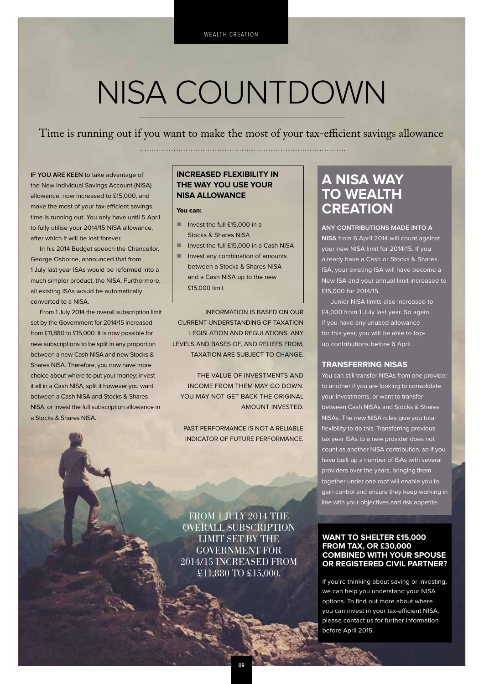## NISA COUNTDOWN

Time is running out if you want to make the most of your tax-efficient savings allowance 

**If you are keen** to take advantage of the New Individual Savings Account (NISA) allowance, now increased to £15,000, and make the most of your tax-efficient savings, time is running out. You only have until 5 April to fully utilise your 2014/15 NISA allowance, after which it will be lost forever.

In his 2014 Budget speech the Chancellor, George Osborne, announced that from 1 July last year ISAs would be reformed into a much simpler product, the NISA. Furthermore, all existing ISAs would be automatically converted to a NISA.

From 1 July 2014 the overall subscription limit set by the Government for 2014/15 increased from £11,880 to £15,000. It is now possible for new subscriptions to be split in any proportion between a new Cash NISA and new Stocks & Shares NISA. Therefore, you now have more choice about where to put your money: invest it all in a Cash NISA, split it however you want between a Cash NISA and Stocks & Shares NISA, or invest the full subscription allowance in a Stocks & Shares NISA.

#### **Increased flexibility in the way you use your NISA allowance**

#### You can:

- $\blacksquare$  Invest the full £15,000 in a Stocks & Shares NISA
- Invest the full £15,000 in a Cash NISA
- n Invest any combination of amounts between a Stocks & Shares NISA and a Cash NISA up to the new £15,000 limit

INFORMATION IS BASED ON OUR CURRENT UNDERSTANDING OF TAXATION LEGISLATION AND REGULATIONS. ANY LEVELS AND BASES OF, AND RELIEFS FROM, TAXATION ARE SUBJECT TO CHANGE.

THE VALUE OF INVESTMENTS AND INCOME FROM THEM MAY GO DOWN. YOU MAY NOT GET BACK THE ORIGINAL AMOUNT INVESTED.

PAST PERFORMANCE IS NOT A RELIABLE INDICATOR OF FUTURE PERFORMANCE.

#### **A NISA way TO WEALTH creation**

**Any contributions made into a NISA** from 6 April 2014 will count against your new NISA limit for 2014/15. If you already have a Cash or Stocks & Shares ISA, your existing ISA will have become a New ISA and your annual limit increased to £15,000 for 2014/15.

Junior NISA limits also increased to £4,000 from 1 July last year. So again, if you have any unused allowance for this year, you will be able to topup contributions before 6 April.

#### **Transferring NISAs**

You can still transfer NISAs from one provider to another if you are looking to consolidate your investments, or want to transfer between Cash NISAs and Stocks & Shares NISAs. The new NISA rules give you total flexibility to do this. Transferring previous tax year ISAs to a new provider does not count as another NISA contribution, so if you have built up a number of ISAs with several providers over the years, bringing them together under one roof will enable you to gain control and ensure they keep working in line with your objectives and risk appetite.

**Want to shelter £15,000 from tax, or £30,000 combined with your spouse or registered civil partner?**

If you're thinking about saving or investing, we can help you understand your NISA options. To find out more about where you can invest in your tax-efficient NISA, please contact us for further information before April 2015.

FROM 1 JULY 2014 THE overall subscription limit set by the Government for 2014/15 increased from £11,880 to £15,000.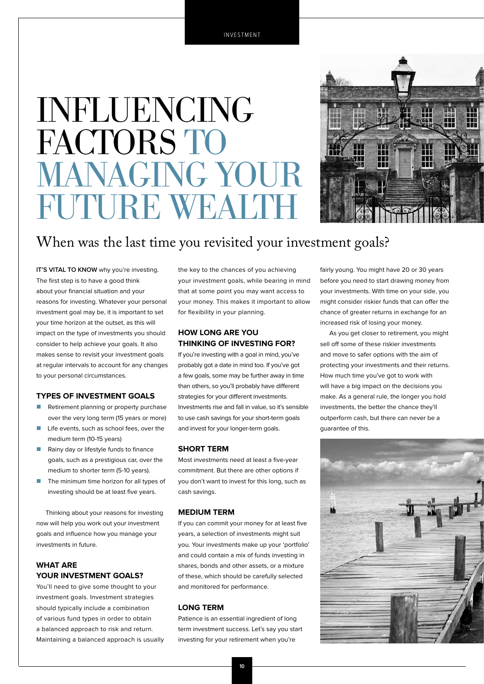## **INFLUENCING** FACTORS TO MANAGING YOUR FUTURE WEALTH



#### When was the last time you revisited your investment goals?

**IT'S VITAL TO KNOW** why you're investing. The first step is to have a good think about your financial situation and your reasons for investing. Whatever your personal investment goal may be, it is important to set your time horizon at the outset, as this will impact on the type of investments you should consider to help achieve your goals. It also makes sense to revisit your investment goals at regular intervals to account for any changes to your personal circumstances.

#### **Types of investment goals**

- **n** Retirement planning or property purchase over the very long term (15 years or more)
- $\blacksquare$  Life events, such as school fees, over the medium term (10-15 years)
- Rainy day or lifestyle funds to finance goals, such as a prestigious car, over the medium to shorter term (5-10 years).
- The minimum time horizon for all types of investing should be at least five years.

Thinking about your reasons for investing now will help you work out your investment goals and influence how you manage your investments in future.

#### **What are your investment goals?**

You'll need to give some thought to your investment goals. Investment strategies should typically include a combination of various fund types in order to obtain a balanced approach to risk and return. Maintaining a balanced approach is usually the key to the chances of you achieving your investment goals, while bearing in mind that at some point you may want access to your money. This makes it important to allow for flexibility in your planning.

#### **How long are you thinking of investing for?**

If you're investing with a goal in mind, you've probably got a date in mind too. If you've got a few goals, some may be further away in time than others, so you'll probably have different strategies for your different investments. Investments rise and fall in value, so it's sensible to use cash savings for your short-term goals and invest for your longer-term goals.

#### **Short term**

Most investments need at least a five-year commitment. But there are other options if you don't want to invest for this long, such as cash savings.

#### **Medium term**

If you can commit your money for at least five years, a selection of investments might suit you. Your investments make up your 'portfolio' and could contain a mix of funds investing in shares, bonds and other assets, or a mixture of these, which should be carefully selected and monitored for performance.

#### **Long term**

Patience is an essential ingredient of long term investment success. Let's say you start investing for your retirement when you're

fairly young. You might have 20 or 30 years before you need to start drawing money from your investments. With time on your side, you might consider riskier funds that can offer the chance of greater returns in exchange for an increased risk of losing your money.

As you get closer to retirement, you might sell off some of these riskier investments and move to safer options with the aim of protecting your investments and their returns. How much time you've got to work with will have a big impact on the decisions you make. As a general rule, the longer you hold investments, the better the chance they'll outperform cash, but there can never be a guarantee of this.

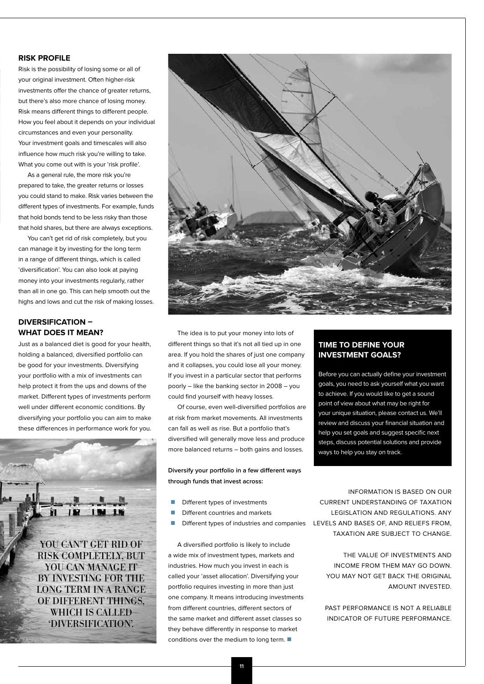#### **Risk profile**

Risk is the possibility of losing some or all of your original investment. Often higher-risk investments offer the chance of greater returns, but there's also more chance of losing money. Risk means different things to different people. How you feel about it depends on your individual circumstances and even your personality. Your investment goals and timescales will also influence how much risk you're willing to take. What you come out with is your 'risk profile'.

As a general rule, the more risk you're prepared to take, the greater returns or losses you could stand to make. Risk varies between the different types of investments. For example, funds that hold bonds tend to be less risky than those that hold shares, but there are always exceptions.

You can't get rid of risk completely, but you can manage it by investing for the long term in a range of different things, which is called 'diversification'. You can also look at paying money into your investments regularly, rather than all in one go. This can help smooth out the highs and lows and cut the risk of making losses.

#### **Diversification – what does it mean?**

Just as a balanced diet is good for your health, holding a balanced, diversified portfolio can be good for your investments. Diversifying your portfolio with a mix of investments can help protect it from the ups and downs of the market. Different types of investments perform well under different economic conditions. By diversifying your portfolio you can aim to make these differences in performance work for you.





The idea is to put your money into lots of different things so that it's not all tied up in one area. If you hold the shares of just one company and it collapses, you could lose all your money. If you invest in a particular sector that performs poorly – like the banking sector in 2008 – you could find yourself with heavy losses.

Of course, even well-diversified portfolios are at risk from market movements. All investments can fall as well as rise. But a portfolio that's diversified will generally move less and produce more balanced returns – both gains and losses.

**Diversify your portfolio in a few different ways through funds that invest across:**

- $\blacksquare$  Different types of investments
- Different countries and markets
- 

A diversified portfolio is likely to include a wide mix of investment types, markets and industries. How much you invest in each is called your 'asset allocation'. Diversifying your portfolio requires investing in more than just one company. It means introducing investments from different countries, different sectors of the same market and different asset classes so they behave differently in response to market conditions over the medium to long term.  $\blacksquare$ 

#### **Time to define your investment goals?**

Before you can actually define your investment goals, you need to ask yourself what you want to achieve. If you would like to get a sound point of view about what may be right for your unique situation, please contact us. We'll review and discuss your financial situation and help you set goals and suggest specific next steps, discuss potential solutions and provide ways to help you stay on track.

**Different types of industries and companies** LEVELS AND BASES OF, AND RELIEFS FROM, INFORMATION IS BASED ON OUR CURRENT UNDERSTANDING OF TAXATION LEGISLATION AND REGULATIONS. ANY TAXATION ARE SUBJECT TO CHANGE.

> THE VALUE OF INVESTMENTS AND INCOME FROM THEM MAY GO DOWN. YOU MAY NOT GET BACK THE ORIGINAL AMOUNT INVESTED.

> PAST PERFORMANCE IS NOT A RELIABLE INDICATOR OF FUTURE PERFORMANCE.